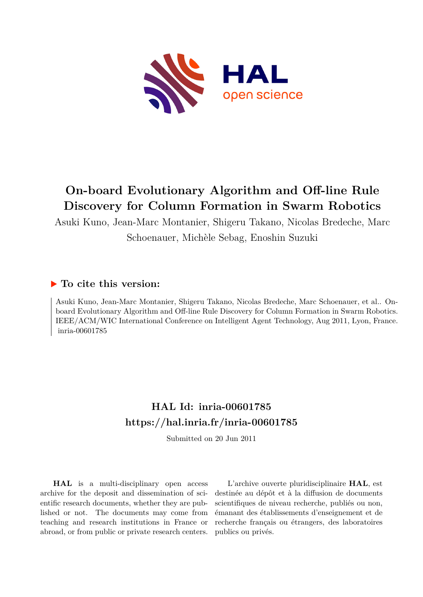

## **On-board Evolutionary Algorithm and Off-line Rule Discovery for Column Formation in Swarm Robotics**

Asuki Kuno, Jean-Marc Montanier, Shigeru Takano, Nicolas Bredeche, Marc Schoenauer, Michèle Sebag, Enoshin Suzuki

### **To cite this version:**

Asuki Kuno, Jean-Marc Montanier, Shigeru Takano, Nicolas Bredeche, Marc Schoenauer, et al.. Onboard Evolutionary Algorithm and Off-line Rule Discovery for Column Formation in Swarm Robotics. IEEE/ACM/WIC International Conference on Intelligent Agent Technology, Aug 2011, Lyon, France. inria-00601785

## **HAL Id: inria-00601785 <https://hal.inria.fr/inria-00601785>**

Submitted on 20 Jun 2011

**HAL** is a multi-disciplinary open access archive for the deposit and dissemination of scientific research documents, whether they are published or not. The documents may come from teaching and research institutions in France or abroad, or from public or private research centers.

L'archive ouverte pluridisciplinaire **HAL**, est destinée au dépôt et à la diffusion de documents scientifiques de niveau recherche, publiés ou non, émanant des établissements d'enseignement et de recherche français ou étrangers, des laboratoires publics ou privés.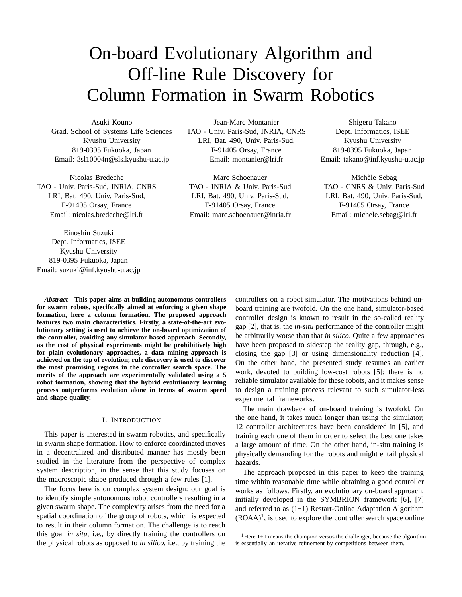# On-board Evolutionary Algorithm and Off-line Rule Discovery for Column Formation in Swarm Robotics

Asuki Kouno Grad. School of Systems Life Sciences Kyushu University 819-0395 Fukuoka, Japan Email: 3sl10004n@sls.kyushu-u.ac.jp

Nicolas Bredeche TAO - Univ. Paris-Sud, INRIA, CNRS LRI, Bat. 490, Univ. Paris-Sud, F-91405 Orsay, France Email: nicolas.bredeche@lri.fr

Einoshin Suzuki Dept. Informatics, ISEE Kyushu University 819-0395 Fukuoka, Japan Email: suzuki@inf.kyushu-u.ac.jp

Jean-Marc Montanier TAO - Univ. Paris-Sud, INRIA, CNRS LRI, Bat. 490, Univ. Paris-Sud, F-91405 Orsay, France Email: montanier@lri.fr

Marc Schoenauer TAO - INRIA & Univ. Paris-Sud LRI, Bat. 490, Univ. Paris-Sud, F-91405 Orsay, France Email: marc.schoenauer@inria.fr

Shigeru Takano Dept. Informatics, ISEE Kyushu University 819-0395 Fukuoka, Japan Email: takano@inf.kyushu-u.ac.jp

Michèle Sebag TAO - CNRS & Univ. Paris-Sud LRI, Bat. 490, Univ. Paris-Sud, F-91405 Orsay, France Email: michele.sebag@lri.fr

*Abstract***—This paper aims at building autonomous controllers for swarm robots, specifically aimed at enforcing a given shape formation, here a column formation. The proposed approach features two main characteristics. Firstly, a state-of-the-art evolutionary setting is used to achieve the on-board optimization of the controller, avoiding any simulator-based approach. Secondly, as the cost of physical experiments might be prohibitively high for plain evolutionary approaches, a data mining approach is achieved on the top of evolution; rule discovery is used to discover the most promising regions in the controller search space. The merits of the approach are experimentally validated using a 5 robot formation, showing that the hybrid evolutionary learning process outperforms evolution alone in terms of swarm speed and shape quality.**

#### I. INTRODUCTION

This paper is interested in swarm robotics, and specifically in swarm shape formation. How to enforce coordinated moves in a decentralized and distributed manner has mostly been studied in the literature from the perspective of complex system description, in the sense that this study focuses on the macroscopic shape produced through a few rules [1].

The focus here is on complex system design: our goal is to identify simple autonomous robot controllers resulting in a given swarm shape. The complexity arises from the need for a spatial coordination of the group of robots, which is expected to result in their column formation. The challenge is to reach this goal *in situ*, i.e., by directly training the controllers on the physical robots as opposed to *in silico*, i.e., by training the

controllers on a robot simulator. The motivations behind onboard training are twofold. On the one hand, simulator-based controller design is known to result in the so-called reality gap [2], that is, the *in-situ* performance of the controller might be arbitrarily worse than that *in silico*. Quite a few approaches have been proposed to sidestep the reality gap, through, e.g., closing the gap [3] or using dimensionality reduction [4]. On the other hand, the presented study resumes an earlier work, devoted to building low-cost robots [5]: there is no reliable simulator available for these robots, and it makes sense to design a training process relevant to such simulator-less experimental frameworks.

The main drawback of on-board training is twofold. On the one hand, it takes much longer than using the simulator; 12 controller architectures have been considered in [5], and training each one of them in order to select the best one takes a large amount of time. On the other hand, in-situ training is physically demanding for the robots and might entail physical hazards.

The approach proposed in this paper to keep the training time within reasonable time while obtaining a good controller works as follows. Firstly, an evolutionary on-board approach, initially developed in the SYMBRION framework [6], [7] and referred to as  $(1+1)$  Restart-Online Adaptation Algorithm  $(ROAA)^1$ , is used to explore the controller search space online

<sup>1</sup>Here 1+1 means the champion versus the challenger, because the algorithm is essentially an iterative refinement by competitions between them.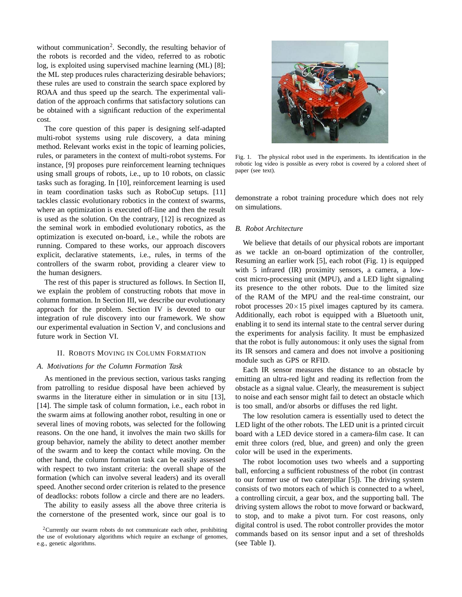without communication<sup>2</sup>. Secondly, the resulting behavior of the robots is recorded and the video, referred to as robotic log, is exploited using supervised machine learning (ML) [8]; the ML step produces rules characterizing desirable behaviors; these rules are used to constrain the search space explored by ROAA and thus speed up the search. The experimental validation of the approach confirms that satisfactory solutions can be obtained with a significant reduction of the experimental cost.

The core question of this paper is designing self-adapted multi-robot systems using rule discovery, a data mining method. Relevant works exist in the topic of learning policies, rules, or parameters in the context of multi-robot systems. For instance, [9] proposes pure reinforcement learning techniques using small groups of robots, i.e., up to 10 robots, on classic tasks such as foraging. In [10], reinforcement learning is used in team coordination tasks such as RoboCup setups. [11] tackles classic evolutionary robotics in the context of swarms, where an optimization is executed off-line and then the result is used as the solution. On the contrary, [12] is recognized as the seminal work in embodied evolutionary robotics, as the optimization is executed on-board, i.e., while the robots are running. Compared to these works, our approach discovers explicit, declarative statements, i.e., rules, in terms of the controllers of the swarm robot, providing a clearer view to the human designers.

The rest of this paper is structured as follows. In Section II, we explain the problem of constructing robots that move in column formation. In Section III, we describe our evolutionary approach for the problem. Section IV is devoted to our integration of rule discovery into our framework. We show our experimental evaluation in Section V, and conclusions and future work in Section VI.

#### II. ROBOTS MOVING IN COLUMN FORMATION

#### *A. Motivations for the Column Formation Task*

As mentioned in the previous section, various tasks ranging from patrolling to residue disposal have been achieved by swarms in the literature either in simulation or in situ [13], [14]. The simple task of column formation, i.e., each robot in the swarm aims at following another robot, resulting in one or several lines of moving robots, was selected for the following reasons. On the one hand, it involves the main two skills for group behavior, namely the ability to detect another member of the swarm and to keep the contact while moving. On the other hand, the column formation task can be easily assessed with respect to two instant criteria: the overall shape of the formation (which can involve several leaders) and its overall speed. Another second order criterion is related to the presence of deadlocks: robots follow a circle and there are no leaders.

The ability to easily assess all the above three criteria is the cornerstone of the presented work, since our goal is to



Fig. 1. The physical robot used in the experiments. Its identification in the robotic log video is possible as every robot is covered by a colored sheet of paper (see text).

demonstrate a robot training procedure which does not rely on simulations.

#### *B. Robot Architecture*

We believe that details of our physical robots are important as we tackle an on-board optimization of the controller, Resuming an earlier work [5], each robot (Fig. 1) is equipped with 5 infrared (IR) proximity sensors, a camera, a lowcost micro-processing unit (MPU), and a LED light signaling its presence to the other robots. Due to the limited size of the RAM of the MPU and the real-time constraint, our robot processes  $20 \times 15$  pixel images captured by its camera. Additionally, each robot is equipped with a Bluetooth unit, enabling it to send its internal state to the central server during the experiments for analysis facility. It must be emphasized that the robot is fully autonomous: it only uses the signal from its IR sensors and camera and does not involve a positioning module such as GPS or RFID.

Each IR sensor measures the distance to an obstacle by emitting an ultra-red light and reading its reflection from the obstacle as a signal value. Clearly, the measurement is subject to noise and each sensor might fail to detect an obstacle which is too small, and/or absorbs or diffuses the red light.

The low resolution camera is essentially used to detect the LED light of the other robots. The LED unit is a printed circuit board with a LED device stored in a camera-film case. It can emit three colors (red, blue, and green) and only the green color will be used in the experiments.

The robot locomotion uses two wheels and a supporting ball, enforcing a sufficient robustness of the robot (in contrast to our former use of two caterpillar [5]). The driving system consists of two motors each of which is connected to a wheel, a controlling circuit, a gear box, and the supporting ball. The driving system allows the robot to move forward or backward, to stop, and to make a pivot turn. For cost reasons, only digital control is used. The robot controller provides the motor commands based on its sensor input and a set of thresholds (see Table I).

 $2$ Currently our swarm robots do not communicate each other, prohibiting the use of evolutionary algorithms which require an exchange of genomes, e.g., genetic algorithms.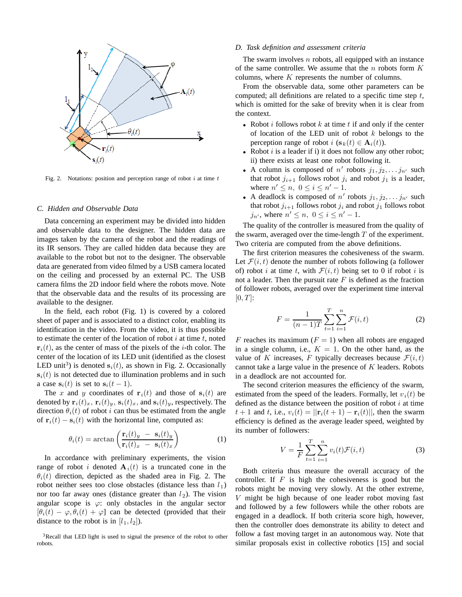

Fig. 2. Notations: position and perception range of robot  $i$  at time  $t$ 

#### *C. Hidden and Observable Data*

Data concerning an experiment may be divided into hidden and observable data to the designer. The hidden data are images taken by the camera of the robot and the readings of its IR sensors. They are called hidden data because they are available to the robot but not to the designer. The observable data are generated from video filmed by a USB camera located on the ceiling and processed by an external PC. The USB camera films the 2D indoor field where the robots move. Note that the observable data and the results of its processing are available to the designer.

In the field, each robot (Fig. 1) is covered by a colored sheet of paper and is associated to a distinct color, enabling its identification in the video. From the video, it is thus possible to estimate the center of the location of robot  $i$  at time  $t$ , noted  $\mathbf{r}_i(t)$ , as the center of mass of the pixels of the *i*-th color. The center of the location of its LED unit (identified as the closest LED unit<sup>3</sup>) is denoted  $s_i(t)$ , as shown in Fig. 2. Occasionally  $s_i(t)$  is not detected due to illumination problems and in such a case  $s_i(t)$  is set to  $s_i(t-1)$ .

The x and y coordinates of  $\mathbf{r}_i(t)$  and those of  $\mathbf{s}_i(t)$  are denoted by  $\mathbf{r}_i(t)_x$ ,  $\mathbf{r}_i(t)_y$ ,  $\mathbf{s}_i(t)_x$ , and  $\mathbf{s}_i(t)_y$ , respectively. The direction  $\theta_i(t)$  of robot i can thus be estimated from the angle of  $\mathbf{r}_i(t) - \mathbf{s}_i(t)$  with the horizontal line, computed as:

$$
\theta_i(t) = \arctan\left(\frac{\mathbf{r}_i(t)_y - \mathbf{s}_i(t)_y}{\mathbf{r}_i(t)_x - \mathbf{s}_i(t)_x}\right) \tag{1}
$$

In accordance with preliminary experiments, the vision range of robot i denoted  $A_i(t)$  is a truncated cone in the  $\theta_i(t)$  direction, depicted as the shaded area in Fig. 2. The robot neither sees too close obstacles (distance less than  $l_1$ ) nor too far away ones (distance greater than  $l_2$ ). The vision angular scope is  $\varphi$ : only obstacles in the angular sector  $[\theta_i(t) - \varphi, \theta_i(t) + \varphi]$  can be detected (provided that their distance to the robot is in  $[l_1, l_2]$ ).

3Recall that LED light is used to signal the presence of the robot to other robots.

#### *D. Task definition and assessment criteria*

The swarm involves  $n$  robots, all equipped with an instance of the same controller. We assume that the  $n$  robots form  $K$ columns, where K represents the number of columns.

From the observable data, some other parameters can be computed; all definitions are related to a specific time step  $t$ , which is omitted for the sake of brevity when it is clear from the context.

- Robot  $i$  follows robot  $k$  at time  $t$  if and only if the center of location of the LED unit of robot  $k$  belongs to the perception range of robot  $i$  ( $\mathbf{s}_k(t) \in \mathbf{A}_i(t)$ ).
- Robot  $i$  is a leader if i) it does not follow any other robot; ii) there exists at least one robot following it.
- A column is composed of  $n'$  robots  $j_1, j_2, \ldots, j_{n'}$  such that robot  $j_{i+1}$  follows robot  $j_i$  and robot  $j_1$  is a leader, where  $n' \leq n, 0 \leq i \leq n'-1$ .
- A deadlock is composed of  $n'$  robots  $j_1, j_2, \ldots, j_{n'}$  such that robot  $j_{i+1}$  follows robot  $j_i$  and robot  $j_1$  follows robot  $j_{n'}$ , where  $n' \leq n, 0 \leq i \leq n'-1$ .

The quality of the controller is measured from the quality of the swarm, averaged over the time-length  $T$  of the experiment. Two criteria are computed from the above definitions.

The first criterion measures the cohesiveness of the swarm. Let  $\mathcal{F}(i, t)$  denote the number of robots following (a follower of) robot i at time t, with  $\mathcal{F}(i, t)$  being set to 0 if robot i is not a leader. Then the pursuit rate  $F$  is defined as the fraction of follower robots, averaged over the experiment time interval  $[0, T]$ :

$$
F = \frac{1}{(n-1)T} \sum_{t=1}^{T} \sum_{i=1}^{n} \mathcal{F}(i, t)
$$
 (2)

F reaches its maximum  $(F = 1)$  when all robots are engaged in a single column, i.e.,  $K = 1$ . On the other hand, as the value of K increases, F typically decreases because  $\mathcal{F}(i,t)$ cannot take a large value in the presence of  $K$  leaders. Robots in a deadlock are not accounted for.

The second criterion measures the efficiency of the swarm, estimated from the speed of the leaders. Formally, let  $v_i(t)$  be defined as the distance between the position of robot  $i$  at time  $t + 1$  and t, i.e.,  $v_i(t) = ||\mathbf{r}_i(t+1) - \mathbf{r}_i(t)||$ , then the swarm efficiency is defined as the average leader speed, weighted by its number of followers:

$$
V = \frac{1}{F} \sum_{t=1}^{T} \sum_{i=1}^{n} v_i(t) \mathcal{F}(i, t)
$$
 (3)

Both criteria thus measure the overall accuracy of the controller. If  $F$  is high the cohesiveness is good but the robots might be moving very slowly. At the other extreme, V might be high because of one leader robot moving fast and followed by a few followers while the other robots are engaged in a deadlock. If both criteria score high, however, then the controller does demonstrate its ability to detect and follow a fast moving target in an autonomous way. Note that similar proposals exist in collective robotics [15] and social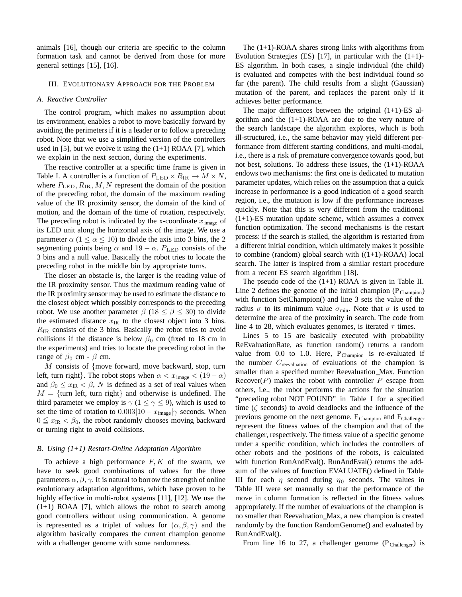animals [16], though our criteria are specific to the column formation task and cannot be derived from those for more general settings [15], [16].

#### III. EVOLUTIONARY APPROACH FOR THE PROBLEM

#### *A. Reactive Controller*

The control program, which makes no assumption about its environment, enables a robot to move basically forward by avoiding the perimeters if it is a leader or to follow a preceding robot. Note that we use a simplified version of the controllers used in [5], but we evolve it using the  $(1+1)$  ROAA [7], which we explain in the next section, during the experiments.

The reactive controller at a specific time frame is given in Table I. A controller is a function of  $P_{LED} \times R_{IR} \rightarrow M \times N$ , where  $P_{\text{LED}}, R_{\text{IR}}, M, N$  represent the domain of the position of the preceding robot, the domain of the maximum reading value of the IR proximity sensor, the domain of the kind of motion, and the domain of the time of rotation, respectively. The preceding robot is indicated by the x-coordinate  $x_{\text{image}}$  of its LED unit along the horizontal axis of the image. We use a parameter  $\alpha$  (1  $\leq \alpha \leq 10$ ) to divide the axis into 3 bins, the 2 segmenting points being  $\alpha$  and 19 –  $\alpha$ .  $P_{LED}$  consists of the 3 bins and a null value. Basically the robot tries to locate the preceding robot in the middle bin by appropriate turns.

The closer an obstacle is, the larger is the reading value of the IR proximity sensor. Thus the maximum reading value of the IR proximity sensor may be used to estimate the distance to the closest object which possibly corresponds to the preceding robot. We use another parameter  $\beta$  (18 <  $\beta$  < 30) to divide the estimated distance  $x_{IR}$  to the closest object into 3 bins.  $R_{\rm IR}$  consists of the 3 bins. Basically the robot tries to avoid collisions if the distance is below  $\beta_0$  cm (fixed to 18 cm in the experiments) and tries to locate the preceding robot in the range of  $\beta_0$  cm -  $\beta$  cm.

 $M$  consists of {move forward, move backward, stop, turn left, turn right}. The robot stops when  $\alpha < x_{\text{image}} < (19 - \alpha)$ and  $\beta_0 \leq x_{\text{IR}} < \beta$ , N is defined as a set of real values when  $M = \{$ turn left, turn right $\}$  and otherwise is undefined. The third parameter we employ is  $\gamma$  (1  $\leq \gamma \leq$  9), which is used to set the time of rotation to  $0.003|10 - x_{\text{image}}|\gamma$  seconds. When  $0 \leq x_{IR} < \beta_0$ , the robot randomly chooses moving backward or turning right to avoid collisions.

#### *B. Using (1+1) Restart-Online Adaptation Algorithm*

To achieve a high performance  $F, K$  of the swarm, we have to seek good combinations of values for the three parameters  $\alpha$ ,  $\beta$ ,  $\gamma$ . It is natural to borrow the strength of online evolutionary adaptation algorithms, which have proven to be highly effective in multi-robot systems [11], [12]. We use the  $(1+1)$  ROAA [7], which allows the robot to search among good controllers without using communication. A genome is represented as a triplet of values for  $(\alpha, \beta, \gamma)$  and the algorithm basically compares the current champion genome with a challenger genome with some randomness.

The  $(1+1)$ -ROAA shares strong links with algorithms from Evolution Strategies (ES) [17], in particular with the  $(1+1)$ -ES algorithm. In both cases, a single individual (the child) is evaluated and competes with the best individual found so far (the parent). The child results from a slight (Gaussian) mutation of the parent, and replaces the parent only if it achieves better performance.

The major differences between the original (1+1)-ES algorithm and the  $(1+1)$ -ROAA are due to the very nature of the search landscape the algorithm explores, which is both ill-structured, i.e., the same behavior may yield different performance from different starting conditions, and multi-modal, i.e., there is a risk of premature convergence towards good, but not best, solutions. To address these issues, the (1+1)-ROAA endows two mechanisms: the first one is dedicated to mutation parameter updates, which relies on the assumption that a quick increase in performance is a good indication of a good search region, i.e., the mutation is low if the performance increases quickly. Note that this is very different from the traditional  $(1+1)$ -ES mutation update scheme, which assumes a convex function optimization. The second mechanisms is the restart process: if the search is stalled, the algorithm is restarted from a different initial condition, which ultimately makes it possible to combine (random) global search with  $((1+1)-ROAA)$  local search. The latter is inspired from a similar restart procedure from a recent ES search algorithm [18].

The pseudo code of the  $(1+1)$  ROAA is given in Table II. Line 2 defines the genome of the initial champion  $(P_{Channon})$ with function SetChampion() and line 3 sets the value of the radius  $\sigma$  to its minimum value  $\sigma_{\min}$ . Note that  $\sigma$  is used to determine the area of the proximity in search. The code from line 4 to 28, which evaluates genomes, is iterated  $\tau$  times.

Lines 5 to 15 are basically executed with probability ReEvaluationRate, as function random() returns a random value from 0.0 to 1.0. Here,  $P_{Champion}$  is re-evaluated if the number  $C_{\text{reevaluation}}$  of evaluations of the champion is smaller than a specified number Reevaluation\_Max. Function  $Recover(P)$  makes the robot with controller P escape from others, i.e., the robot performs the actions for the situation "preceding robot NOT FOUND" in Table I for a specified time  $(\zeta$  seconds) to avoid deadlocks and the influence of the previous genome on the next genome.  $F_{Channon}$  and  $F_{Challenger}$ represent the fitness values of the champion and that of the challenger, respectively. The fitness value of a specific genome under a specific condition, which includes the controllers of other robots and the positions of the robots, is calculated with function RunAndEval(). RunAndEval() returns the addsum of the values of function EVALUATE() defined in Table III for each  $\eta$  second during  $\eta_0$  seconds. The values in Table III were set manually so that the performance of the move in column formation is reflected in the fitness values appropriately. If the number of evaluations of the champion is no smaller than Reevaluation Max, a new champion is created randomly by the function RandomGenome() and evaluated by RunAndEval().

From line 16 to 27, a challenger genome  $(P_{\text{Challenger}})$  is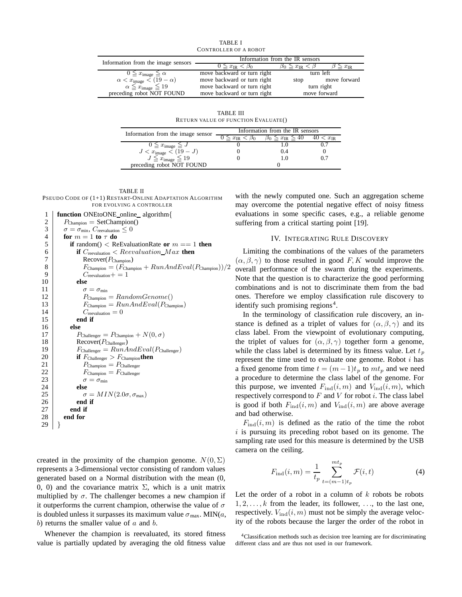TABLE I CONTROLLER OF A ROBOT

| Information from the image sensors          |                                  | Information from the IR sensors      |                      |
|---------------------------------------------|----------------------------------|--------------------------------------|----------------------|
|                                             | $0 \leq x_{\text{IR}} < \beta_0$ | $\beta_0 \leq x_{\text{IR}} < \beta$ | $\geq x_{\text{IR}}$ |
| $0 \leq x_{\text{image}} \leq \alpha$       | move backward or turn right      | turn left                            |                      |
| $\alpha < x_{\text{image}} < (19 - \alpha)$ | move backward or turn right      | stop                                 | move forward         |
| $\alpha \leq x_{\text{image}} \leq 19$      | move backward or turn right      | turn right                           |                      |
| preceding robot NOT FOUND                   | move backward or turn right      | move forward                         |                      |

TABLE III RETURN VALUE OF FUNCTION EVALUATE()

| Information from the image sensor        | Information from the IR sensors |                                      |                      |  |
|------------------------------------------|---------------------------------|--------------------------------------|----------------------|--|
|                                          | $x_{\rm IR}$                    | $\beta_0 \leq x_{\text{IR}} \leq 40$ | $\langle x_{\rm IR}$ |  |
| $0 \leq x_{\text{image}} \leq J$         |                                 |                                      |                      |  |
| $J < x_{\text{image}} < (\overline{19})$ |                                 | i) 4                                 |                      |  |
| $J \leq x_{\text{image}} \leq 19$        |                                 |                                      |                      |  |
| preceding robot NOT FOUND                |                                 |                                      |                      |  |

TABLE II

PSEUDO CODE OF (1+1) RESTART-ONLINE ADAPTATION ALGORITHM

```
FOR EVOLVING A CONTROLLER
 1 function ONEtoONE online algorithm{<br>2 P_{\text{Channon}} = \text{SetChannon}()P_{Champion} = SetChampion()3 \sigma = \sigma_{\min}, C_{\text{reevaluation}} \leq 04 \quad \text{for } m = 1 \text{ to } \tau \text{ do}5 if random() \lt ReEvaluationRate or m == 1 then
  6 if C_{\text{revaluation}} < Reevaluation\_Max then
 7 Recover(P_{\text{Champion}})
 8 F_{\text{Champion}} = (F_{\text{Champion}} + RunAndEval(P_{\text{Champion}}))/2<br>9 C_{\text{reevaluation}} = 1C_{\text{reevaluation}}+110 else
11 \sigma = \sigma_{\min}<br>12 P_{\text{Channon}}P_{\text{Champion}} = RandomGenome()13 F_{\text{Champion}} = RunAndEval(P_{\text{Champion}})14 C_{\text{reevaluation}} = 015 end if
16 else
                  P_{\text{Challenger}} = P_{\text{Champion}} + N(0, \sigma)18 Recover(P_{\text{Challenger}})
19 F_{\text{Challenger}} = RunAndEval(P_{\text{Challenger}})<br>20 if F_{\text{Challenger}} > F_{\text{Chamien}} then
                 if F_{\text{Challenger}} > F_{\text{Champion}}then
21 P_{\text{Champion}} = P_{\text{Challenger}}<br>22 F_{\text{Channon}} = F_{\text{Challenger}}22 F_{\text{Champion}} = F_{\text{Challenger}}<br>23 \sigma = \sigma_{\min}\sigma = \sigma_{\min}24 else<br>25 o
25 \sigma = MIN(2.0\sigma, \sigma_{\text{max}})<br>26 end if
                 end if
27 end if
28 end for
29 }
```
created in the proximity of the champion genome.  $N(0, \Sigma)$ represents a 3-dimensional vector consisting of random values generated based on a Normal distribution with the mean (0, 0, 0) and the covariance matrix  $\Sigma$ , which is a unit matrix multiplied by  $\sigma$ . The challenger becomes a new champion if it outperforms the current champion, otherwise the value of  $\sigma$ is doubled unless it surpasses its maximum value  $\sigma_{\text{max}}$ . MIN(a, b) returns the smaller value of  $a$  and  $b$ .

Whenever the champion is reevaluated, its stored fitness value is partially updated by averaging the old fitness value

with the newly computed one. Such an aggregation scheme may overcome the potential negative effect of noisy fitness evaluations in some specific cases, e.g., a reliable genome suffering from a critical starting point [19].

#### IV. INTEGRATING RULE DISCOVERY

Limiting the combinations of the values of the parameters  $(\alpha, \beta, \gamma)$  to those resulted in good F, K would improve the overall performance of the swarm during the experiments. Note that the question is to characterize the good performing combinations and is not to discriminate them from the bad ones. Therefore we employ classification rule discovery to identify such promising regions<sup>4</sup>.

In the terminology of classification rule discovery, an instance is defined as a triplet of values for  $(\alpha, \beta, \gamma)$  and its class label. From the viewpoint of evolutionary computing, the triplet of values for  $(\alpha, \beta, \gamma)$  together form a genome, while the class label is determined by its fitness value. Let  $t_p$ represent the time used to evaluate one genome. Robot  $i$  has a fixed genome from time  $t = (m-1)t_p$  to  $mt_p$  and we need a procedure to determine the class label of the genome. For this purpose, we invented  $F_{\text{ind}}(i, m)$  and  $V_{\text{ind}}(i, m)$ , which respectively correspond to  $F$  and  $V$  for robot  $i$ . The class label is good if both  $F_{\text{ind}}(i, m)$  and  $V_{\text{ind}}(i, m)$  are above average and bad otherwise.

 $F_{\text{ind}}(i, m)$  is defined as the ratio of the time the robot  $i$  is pursuing its preceding robot based on its genome. The sampling rate used for this measure is determined by the USB camera on the ceiling.

$$
F_{\text{ind}}(i,m) = \frac{1}{t_p} \sum_{t=(m-1)t_p}^{mt_p} \mathcal{F}(i,t)
$$
 (4)

Let the order of a robot in a column of  $k$  robots be robots  $1, 2, \ldots, k$  from the leader, its follower, ..., to the last one, respectively.  $V_{\text{ind}}(i, m)$  must not be simply the average velocity of the robots because the larger the order of the robot in

4Classification methods such as decision tree learning are for discriminating different class and are thus not used in our framework.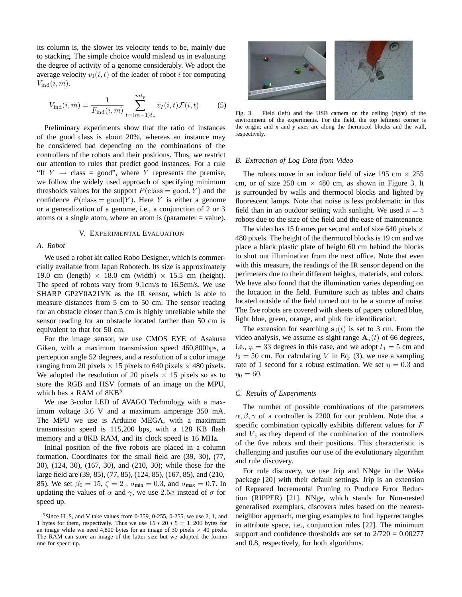its column is, the slower its velocity tends to be, mainly due to stacking. The simple choice would mislead us in evaluating the degree of activity of a genome considerably. We adopt the average velocity  $v_{\text{I}}(i, t)$  of the leader of robot i for computing  $V_{\text{ind}}(i, m)$ .

$$
V_{\text{ind}}(i,m) = \frac{1}{F_{\text{ind}}(i,m)} \sum_{t=(m-1)t_p}^{mt_p} v_I(i,t) \mathcal{F}(i,t) \tag{5}
$$

Preliminary experiments show that the ratio of instances of the good class is about 20%, whereas an instance may be considered bad depending on the combinations of the controllers of the robots and their positions. Thus, we restrict our attention to rules that predict good instances. For a rule "If  $Y \rightarrow$  class = good", where Y represents the premise, we follow the widely used approach of specifying minimum thresholds values for the support  $P(\text{class} = \text{good}, Y)$  and the confidence  $P(\text{class} = \text{good}|Y)$ . Here Y is either a genome or a generalization of a genome, i.e., a conjunction of 2 or 3 atoms or a single atom, where an atom is (parameter  $=$  value).

#### V. EXPERIMENTAL EVALUATION

#### *A. Robot*

We used a robot kit called Robo Designer, which is commercially available from Japan Robotech. Its size is approximately 19.0 cm (length)  $\times$  18.0 cm (width)  $\times$  15.5 cm (height). The speed of robots vary from 9.1cm/s to 16.5cm/s. We use SHARP GP2Y0A21YK as the IR sensor, which is able to measure distances from 5 cm to 50 cm. The sensor reading for an obstacle closer than 5 cm is highly unreliable while the sensor reading for an obstacle located farther than 50 cm is equivalent to that for 50 cm.

For the image sensor, we use CMOS EYE of Asakusa Giken, with a maximum transmission speed 460,800bps, a perception angle 52 degrees, and a resolution of a color image ranging from 20 pixels  $\times$  15 pixels to 640 pixels  $\times$  480 pixels. We adopted the resolution of 20 pixels  $\times$  15 pixels so as to store the RGB and HSV formats of an image on the MPU, which has a RAM of  $8KB<sup>5</sup>$ 

We use 3-color LED of AVAGO Technology with a maximum voltage 3.6 V and a maximum amperage 350 mA. The MPU we use is Arduino MEGA, with a maximum transmission speed is 115,200 bps, with a 128 KB flash memory and a 8KB RAM, and its clock speed is 16 MHz.

Initial position of the five robots are placed in a column formation. Coordinates for the small field are (39, 30), (77, 30), (124, 30), (167, 30), and (210, 30); while those for the large field are (39, 85), (77, 85), (124, 85), (167, 85), and (210, 85). We set  $\beta_0 = 15$ ,  $\zeta = 2$ ,  $\sigma_{\min} = 0.3$ , and  $\sigma_{\max} = 0.7$ . In updating the values of  $\alpha$  and  $\gamma$ , we use  $2.5\sigma$  instead of  $\sigma$  for speed up.



Fig. 3. Field (left) and the USB camera on the ceiling (right) of the environment of the experiments. For the field, the top leftmost corner is the origin; and x and y axes are along the thermocol blocks and the wall, respectively.

#### *B. Extraction of Log Data from Video*

The robots move in an indoor field of size 195 cm  $\times$  255 cm, or of size 250 cm  $\times$  480 cm, as shown in Figure 3. It is surrounded by walls and thermocol blocks and lighted by fluorescent lamps. Note that noise is less problematic in this field than in an outdoor setting with sunlight. We used  $n = 5$ robots due to the size of the field and the ease of maintenance.

The video has 15 frames per second and of size 640 pixels  $\times$ 480 pixels. The height of the thermocol blocks is 19 cm and we place a black plastic plate of height 60 cm behind the blocks to shut out illumination from the next office. Note that even with this measure, the readings of the IR sensor depend on the perimeters due to their different heights, materials, and colors. We have also found that the illumination varies depending on the location in the field. Furniture such as tables and chairs located outside of the field turned out to be a source of noise. The five robots are covered with sheets of papers colored blue, light blue, green, orange, and pink for identification.

The extension for searching  $s_i(t)$  is set to 3 cm. From the video analysis, we assume as sight range  $A_i(t)$  of 66 degrees, i.e.,  $\varphi = 33$  degrees in this case, and we adopt  $l_1 = 5$  cm and  $l_2 = 50$  cm. For calculating V in Eq. (3), we use a sampling rate of 1 second for a robust estimation. We set  $\eta = 0.3$  and  $\eta_0 = 60.$ 

#### *C. Results of Experiments*

The number of possible combinations of the parameters  $\alpha$ ,  $\beta$ ,  $\gamma$  of a controller is 2200 for our problem. Note that a specific combination typically exhibits different values for  $F$ and  $V$ , as they depend of the combination of the controllers of the five robots and their positions. This characteristic is challenging and justifies our use of the evolutionary algorithm and rule discovery.

For rule discovery, we use Jrip and NNge in the Weka package [20] with their default settings. Jrip is an extension of Repeated Incremental Pruning to Produce Error Reduction (RIPPER) [21]. NNge, which stands for Non-nested generalised exemplars, discovers rules based on the nearestneighbor approach, merging examples to find hyperrectangles in attribute space, i.e., conjunction rules [22]. The minimum support and confidence thresholds are set to  $2/720 = 0.00277$ and 0.8, respectively, for both algorithms.

<sup>&</sup>lt;sup>5</sup>Since H, S, and V take values from 0-359, 0-255, 0-255, we use 2, 1, and 1 bytes for them, respectively. Thus we use  $15 * 20 * 5 = 1,200$  bytes for an image while we need 4,800 bytes for an image of 30 pixels  $\times$  40 pixels. The RAM can store an image of the latter size but we adopted the former one for speed up.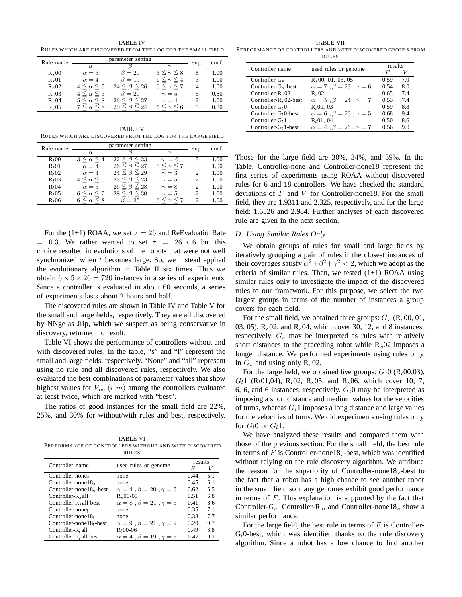TABLE IV RULES WHICH ARE DISCOVERED FROM THE LOG FOR THE SMALL FIELD

| Rule name | parameter setting           |                         |                        | sup.                        | conf. |
|-----------|-----------------------------|-------------------------|------------------------|-----------------------------|-------|
|           | $\alpha$                    |                         | ⌒                      |                             |       |
| $R_s 00$  | $\alpha=3$                  | $\beta = 20$            | $\leq 8$               | 5                           | 1.00  |
| $R_s 01$  | $\alpha = 4$                | $\beta=19$              | $\leq 4$               | 3                           | 1.00  |
| $R_s 02$  | $4 \leq \alpha \leq 5$      | $24 \leq \beta \leq 26$ | $6 \leq \gamma \leq 7$ | 4                           | 1.00  |
| $R_s 03$  | $0 \leq \alpha \leq 6$      | $\beta = 20$            | $\gamma=5$             | 5                           | 0.80  |
| $R_s04$   | $\leq$ 8<br>$5 \leq \alpha$ | $26 \leq \beta \leq 27$ | $\gamma = 4$           | $\mathcal{D}_{\mathcal{A}}$ | 1.00  |
| $R_s 05$  |                             | 2.4                     | $\leq 6$               | 5                           | 0.80  |

TABLE V RULES WHICH ARE DISCOVERED FROM THE LOG FOR THE LARGE FIELD

| Rule name         | parameter setting          |                              |                          |                             | conf. |
|-------------------|----------------------------|------------------------------|--------------------------|-----------------------------|-------|
|                   | $\alpha$                   |                              | $\sim$                   | sup.                        |       |
| R <sub>1</sub> 00 | $3 \leq \alpha \leq$       | $\leq 23$<br>22              | $\gamma = 6$             | 3                           | 1.00  |
| R <sub>I</sub> 01 | $\alpha = 4$               | $\beta \leq 27$<br>$26 \leq$ | $6 \leq \gamma \leq 7$   | 3                           | 1.00  |
| R <sub>I</sub> 02 | $\alpha = 4$               | $24 \leq \beta \leq 29$      | $\gamma=3$               | 2                           | 1.00  |
| R <sub>1</sub> 03 | $4 \leq \alpha \leq 6$     | $22 \leq \beta \leq 23$      | $\gamma=5$               | $\overline{c}$              | 1.00  |
| R <sub>I</sub> 04 | $\alpha=5$                 | $26 \leq \beta \leq 28$      | $\gamma = 8$             | $\overline{c}$              | 1.00  |
| R <sub>l</sub> 05 | $6 \leq \alpha \leq 7$     | $28 \leq \beta \leq 30$      | $\gamma=5$               | $\mathcal{D}_{\mathcal{A}}$ | 1.00  |
| R <sub>l</sub> 06 | $\leq \alpha \leq 8$<br>6. | $\beta=25$                   | $\lt_{\gamma}$ $\lt$ $7$ | 2                           | 1.00  |

For the (1+1) ROAA, we set  $\tau = 26$  and ReEvaluationRate  $= 0.3$ . We rather wanted to set  $\tau = 26 * 6$  but this choice resulted in evolutions of the robots that were not well synchronized when  $t$  becomes large. So, we instead applied the evolutionary algorithm in Table II six times. Thus we obtain  $6 \times 5 \times 26 = 720$  instances in a series of experiments. Since a controller is evaluated in about 60 seconds, a series of experiments lasts about 2 hours and half.

The discovered rules are shown in Table IV and Table V for the small and large fields, respectively. They are all discovered by NNge as Jrip, which we suspect as being conservative in discovery, returned no result.

Table VI shows the performance of controllers without and with discovered rules. In the table, "s" and "l" represent the small and large fields, respectively. "None" and "all" represent using no rule and all discovered rules, respectively. We also evaluated the best combinations of parameter values that show highest values for  $V_{\text{ind}}(i, m)$  among the controllers evaluated at least twice, which are marked with "best".

The ratios of good instances for the small field are 22%, 25%, and 30% for without/with rules and best, respectively.

TABLE VI PERFORMANCE OF CONTROLLERS WITHOUT AND WITH DISCOVERED RULES

| Controller name              | used rules or genome                       | results |     |  |
|------------------------------|--------------------------------------------|---------|-----|--|
|                              |                                            | H       |     |  |
| Controller-none <sub>s</sub> | none                                       | 0.44    | 6.1 |  |
| Controller-none $18_s$       | none                                       | 0.45    | 6.1 |  |
| Controller-none $18s$ -best  | $\alpha = 4$ , $\beta = 20$ , $\gamma = 5$ | 0.62    | 6.5 |  |
| $Controller-Rs all$          | $R_s 00-05$                                | 0.51    | 6.8 |  |
| Controller- $R_s$ all-best   | $\alpha = 8$ , $\beta = 21$ , $\gamma = 6$ | 0.41    | 8.6 |  |
| Controller-none              | none                                       | 0.35    | 7.1 |  |
| Controller-none $18l$        | none                                       | 0.38    | 7.7 |  |
| Controller-none $18l$ -best  | $\alpha = 9$ , $\beta = 21$ , $\gamma = 9$ | 0.20    | 9.7 |  |
| Controller- $R_i$ all        | $R_1$ 00-06                                | 0.49    | 8.8 |  |
| Controller- $Rl$ all-best    | $\alpha = 4$ , $\beta = 19$ , $\gamma = 6$ | 0.47    | 9.1 |  |

TABLE VII PERFORMANCE OF CONTROLLERS AND WITH DISCOVERED GROUPS FROM RULES

| Controller name           | used rules or genome                       | results |     |
|---------------------------|--------------------------------------------|---------|-----|
|                           |                                            |         |     |
| Controller- $G_s$         | $R_s$ 00, 01, 03, 05                       | 0.59    | 7.0 |
| Controller- $G_s$ -best   | $\alpha = 7$ , $\beta = 23$ , $\gamma = 6$ | 0.54    | 8.0 |
| Controller- $R_8$ 02      | $R_{\rm e}$ 02                             | 0.65    | 74  |
| Controller- $R_s$ 02-best | $\alpha = 5$ , $\beta = 24$ , $\gamma = 7$ | 0.53    | 74  |
| Controller- $G10$         | $R_1$ 00, 03                               | 0.59    | 8.8 |
| Controller- $G1$ 0-best   | $\alpha = 6$ , $\beta = 23$ , $\gamma = 5$ | 0.68    | 9.4 |
| Controller- $G_1$ 1       | $R_1$ 01, 04                               | 0.50    | 8.6 |
| Controller- $G_1$ 1-best  | $\alpha = 4$ , $\beta = 26$ , $\gamma = 7$ | 0.56    | 9.0 |

Those for the large field are 30%, 34%, and 39%. In the Table, Controller-none and Controller-none18 represent the first series of experiments using ROAA without discovered rules for 6 and 18 controllers. We have checked the standard deviations of  $F$  and  $V$  for Controller-none 18. For the small field, they are 1.9311 and 2.325, respectively, and for the large field: 1.6526 and 2.984. Further analyses of each discovered rule are given in the next section.

#### *D. Using Similar Rules Only*

We obtain groups of rules for small and large fields by iteratively grouping a pair of rules if the closest instances of their coverages satisfy  $\alpha^2 + \beta^2 + \gamma^2 < 2$ , which we adopt as the criteria of similar rules. Then, we tested  $(1+1)$  ROAA using similar rules only to investigate the impact of the discovered rules to our framework. For this purpose, we select the two largest groups in terms of the number of instances a group covers for each field.

For the small field, we obtained three groups: G*<sup>s</sup>* (R*s*00, 01, 03, 05), R*s*02, and R*s*04, which cover 30, 12, and 8 instances, respectively. G*<sup>s</sup>* may be interpreted as rules with relatively short distances to the preceding robot while R*s*02 imposes a longer distance. We performed experiments using rules only in  $G_s$  and using only  $R_s$ 02.

For the large field, we obtained five groups:  $G_l0$  (R<sub>l</sub>00,03), G*l*1 (R*l*01,04), R*l*02, R*s*05, and R*s*06, which cover 10, 7, 6, 6, and 6 instances, respectively.  $G_l$ 0 may be interpreted as imposing a short distance and medium values for the velocities of turns, whereas  $G_l$ 1 imposes a long distance and large values for the velocities of turns. We did experiments using rules only for  $G_l$ 0 or  $G_l$ 1.

We have analyzed these results and compared them with those of the previous section. For the small field, the best rule in terms of F is Controller-none18*s*-best, which was identified without relying on the rule discovery algorithm. We attribute the reason for the superiority of Controller-none18 *<sup>s</sup>*-best to the fact that a robot has a high chance to see another robot in the small field so many genomes exhibit good performance in terms of  $F$ . This explanation is supported by the fact that Controller-G*s*, Controller-R*s*, and Controller-none18*<sup>s</sup>* show a similar performance.

For the large field, the best rule in terms of  $F$  is Controller-G*l*0-best, which was identified thanks to the rule discovery algorithm. Since a robot has a low chance to find another